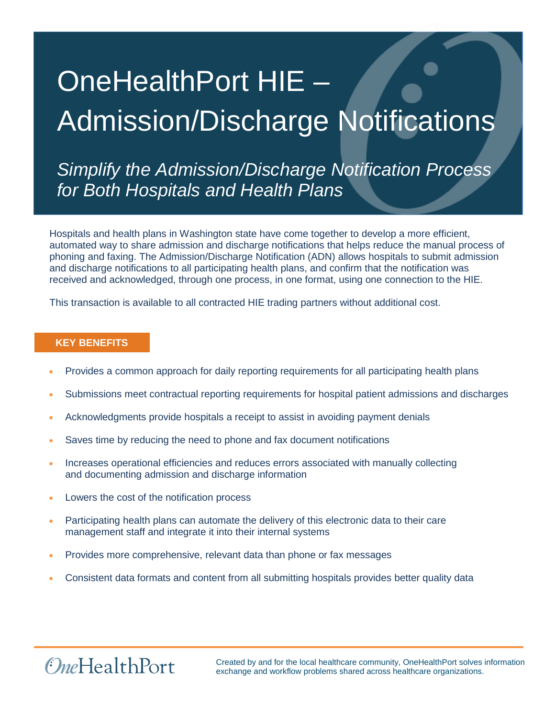# OneHealthPort HIE – Admission/Discharge Notifications

*Simplify the Admission/Discharge Notification Process for Both Hospitals and Health Plans* 

Hospitals and health plans in Washington state have come together to develop a more efficient, automated way to share admission and discharge notifications that helps reduce the manual process of phoning and faxing. The Admission/Discharge Notification (ADN) allows hospitals to submit admission and discharge notifications to all participating health plans, and confirm that the notification was received and acknowledged, through one process, in one format, using one connection to the HIE.

This transaction is available to all contracted HIE trading partners without additional cost.

## **KEY BENEFITS**

- Provides a common approach for daily reporting requirements for all participating health plans
- Submissions meet contractual reporting requirements for hospital patient admissions and discharges
- Acknowledgments provide hospitals a receipt to assist in avoiding payment denials
- Saves time by reducing the need to phone and fax document notifications
- Increases operational efficiencies and reduces errors associated with manually collecting and documenting admission and discharge information
- Lowers the cost of the notification process

*OneHealthPort* 

- Participating health plans can automate the delivery of this electronic data to their care management staff and integrate it into their internal systems
- Provides more comprehensive, relevant data than phone or fax messages
- Consistent data formats and content from all submitting hospitals provides better quality data